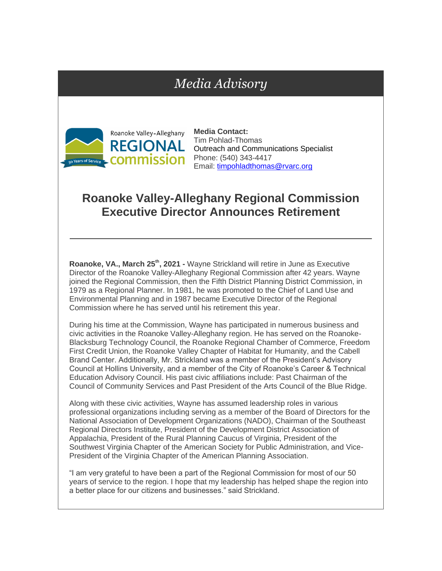## *Media Advisory*



**Media Contact:** Tim Pohlad-Thomas Outreach and Communications Specialist Phone: (540) 343-4417 Email: [timpohladthomas@rvarc.org](mailto:timpohladthomas@rvarc.org)

## **Roanoke Valley-Alleghany Regional Commission Executive Director Announces Retirement**

**Roanoke, VA., March 25th, 2021 -** Wayne Strickland will retire in June as Executive Director of the Roanoke Valley-Alleghany Regional Commission after 42 years. Wayne joined the Regional Commission, then the Fifth District Planning District Commission, in 1979 as a Regional Planner. In 1981, he was promoted to the Chief of Land Use and Environmental Planning and in 1987 became Executive Director of the Regional Commission where he has served until his retirement this year.

During his time at the Commission, Wayne has participated in numerous business and civic activities in the Roanoke Valley-Alleghany region. He has served on the Roanoke-Blacksburg Technology Council, the Roanoke Regional Chamber of Commerce, Freedom First Credit Union, the Roanoke Valley Chapter of Habitat for Humanity, and the Cabell Brand Center. Additionally, Mr. Strickland was a member of the President's Advisory Council at Hollins University, and a member of the City of Roanoke's Career & Technical Education Advisory Council. His past civic affiliations include: Past Chairman of the Council of Community Services and Past President of the Arts Council of the Blue Ridge.

Along with these civic activities, Wayne has assumed leadership roles in various professional organizations including serving as a member of the Board of Directors for the National Association of Development Organizations (NADO), Chairman of the Southeast Regional Directors Institute, President of the Development District Association of Appalachia, President of the Rural Planning Caucus of Virginia, President of the Southwest Virginia Chapter of the American Society for Public Administration, and Vice-President of the Virginia Chapter of the American Planning Association.

"I am very grateful to have been a part of the Regional Commission for most of our 50 years of service to the region. I hope that my leadership has helped shape the region into a better place for our citizens and businesses." said Strickland.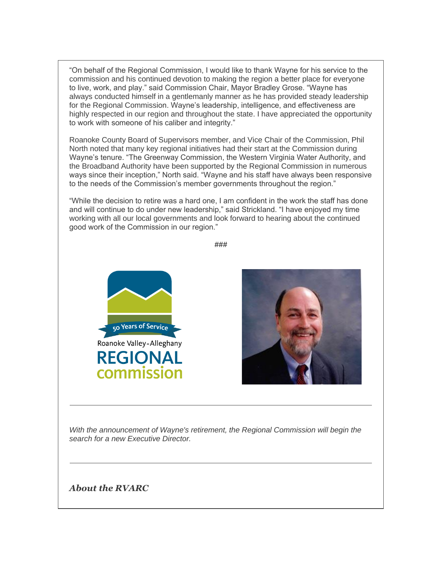"On behalf of the Regional Commission, I would like to thank Wayne for his service to the commission and his continued devotion to making the region a better place for everyone to live, work, and play." said Commission Chair, Mayor Bradley Grose. "Wayne has always conducted himself in a gentlemanly manner as he has provided steady leadership for the Regional Commission. Wayne's leadership, intelligence, and effectiveness are highly respected in our region and throughout the state. I have appreciated the opportunity to work with someone of his caliber and integrity."

Roanoke County Board of Supervisors member, and Vice Chair of the Commission, Phil North noted that many key regional initiatives had their start at the Commission during Wayne's tenure. "The Greenway Commission, the Western Virginia Water Authority, and the Broadband Authority have been supported by the Regional Commission in numerous ways since their inception," North said. "Wayne and his staff have always been responsive to the needs of the Commission's member governments throughout the region."

"While the decision to retire was a hard one, I am confident in the work the staff has done and will continue to do under new leadership," said Strickland. "I have enjoyed my time working with all our local governments and look forward to hearing about the continued good work of the Commission in our region."





*With the announcement of Wayne's retirement, the Regional Commission will begin the search for a new Executive Director.*

*About the RVARC*

**###**